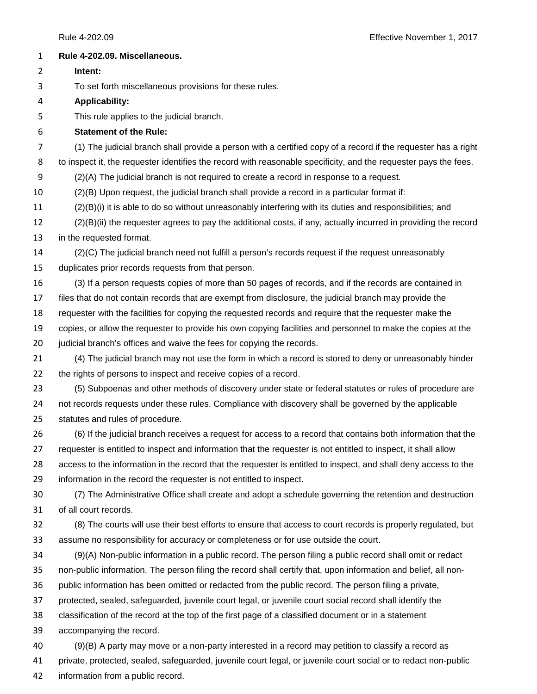| $\mathbf{1}$   | Rule 4-202.09. Miscellaneous.                                                                                    |
|----------------|------------------------------------------------------------------------------------------------------------------|
| 2              | Intent:                                                                                                          |
| 3              | To set forth miscellaneous provisions for these rules.                                                           |
| 4              | <b>Applicability:</b>                                                                                            |
| 5              | This rule applies to the judicial branch.                                                                        |
| 6              | <b>Statement of the Rule:</b>                                                                                    |
| $\overline{7}$ | (1) The judicial branch shall provide a person with a certified copy of a record if the requester has a right    |
| 8              | to inspect it, the requester identifies the record with reasonable specificity, and the requester pays the fees. |
| 9              | (2)(A) The judicial branch is not required to create a record in response to a request.                          |
| 10             | (2)(B) Upon request, the judicial branch shall provide a record in a particular format if:                       |
| 11             | (2)(B)(i) it is able to do so without unreasonably interfering with its duties and responsibilities; and         |
| 12             | (2)(B)(ii) the requester agrees to pay the additional costs, if any, actually incurred in providing the record   |
| 13             | in the requested format.                                                                                         |
| 14             | (2)(C) The judicial branch need not fulfill a person's records request if the request unreasonably               |
| 15             | duplicates prior records requests from that person.                                                              |
| 16             | (3) If a person requests copies of more than 50 pages of records, and if the records are contained in            |
| 17             | files that do not contain records that are exempt from disclosure, the judicial branch may provide the           |
| 18             | requester with the facilities for copying the requested records and require that the requester make the          |
| 19             | copies, or allow the requester to provide his own copying facilities and personnel to make the copies at the     |
| 20             | judicial branch's offices and waive the fees for copying the records.                                            |
| 21             | (4) The judicial branch may not use the form in which a record is stored to deny or unreasonably hinder          |
| 22             | the rights of persons to inspect and receive copies of a record.                                                 |
| 23             | (5) Subpoenas and other methods of discovery under state or federal statutes or rules of procedure are           |
| 24             | not records requests under these rules. Compliance with discovery shall be governed by the applicable            |
| 25             | statutes and rules of procedure.                                                                                 |
| 26             | (6) If the judicial branch receives a request for access to a record that contains both information that the     |
| 27             | requester is entitled to inspect and information that the requester is not entitled to inspect, it shall allow   |
| 28             | access to the information in the record that the requester is entitled to inspect, and shall deny access to the  |
| 29             | information in the record the requester is not entitled to inspect.                                              |
| 30             | (7) The Administrative Office shall create and adopt a schedule governing the retention and destruction          |
| 31             | of all court records.                                                                                            |
| 32             | (8) The courts will use their best efforts to ensure that access to court records is properly regulated, but     |
| 33             | assume no responsibility for accuracy or completeness or for use outside the court.                              |
| 34             | (9)(A) Non-public information in a public record. The person filing a public record shall omit or redact         |
| 35             | non-public information. The person filing the record shall certify that, upon information and belief, all non-   |
| 36             | public information has been omitted or redacted from the public record. The person filing a private,             |
| 37             | protected, sealed, safeguarded, juvenile court legal, or juvenile court social record shall identify the         |
| 38             | classification of the record at the top of the first page of a classified document or in a statement             |
| 39             | accompanying the record.                                                                                         |
| 40             | (9)(B) A party may move or a non-party interested in a record may petition to classify a record as               |
| 41             | private, protected, sealed, safeguarded, juvenile court legal, or juvenile court social or to redact non-public  |
| 42             | information from a public record.                                                                                |